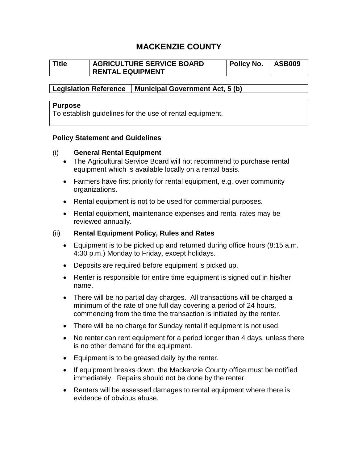# **MACKENZIE COUNTY**

| Title | <b>AGRICULTURE SERVICE BOARD</b> | Policy No. | <b>ASB009</b> |
|-------|----------------------------------|------------|---------------|
|       | <b>RENTAL EQUIPMENT</b>          |            |               |

**Legislation Reference Municipal Government Act, 5 (b)**

#### **Purpose**

To establish guidelines for the use of rental equipment.

#### **Policy Statement and Guidelines**

#### (i) **General Rental Equipment**

- The Agricultural Service Board will not recommend to purchase rental equipment which is available locally on a rental basis.
- Farmers have first priority for rental equipment, e.g. over community organizations.
- Rental equipment is not to be used for commercial purposes.
- Rental equipment, maintenance expenses and rental rates may be reviewed annually.

### (ii) **Rental Equipment Policy, Rules and Rates**

- Equipment is to be picked up and returned during office hours (8:15 a.m. 4:30 p.m.) Monday to Friday, except holidays.
- Deposits are required before equipment is picked up.
- Renter is responsible for entire time equipment is signed out in his/her name.
- There will be no partial day charges. All transactions will be charged a minimum of the rate of one full day covering a period of 24 hours, commencing from the time the transaction is initiated by the renter.
- There will be no charge for Sunday rental if equipment is not used.
- No renter can rent equipment for a period longer than 4 days, unless there is no other demand for the equipment.
- Equipment is to be greased daily by the renter.
- If equipment breaks down, the Mackenzie County office must be notified immediately. Repairs should not be done by the renter.
- Renters will be assessed damages to rental equipment where there is evidence of obvious abuse.